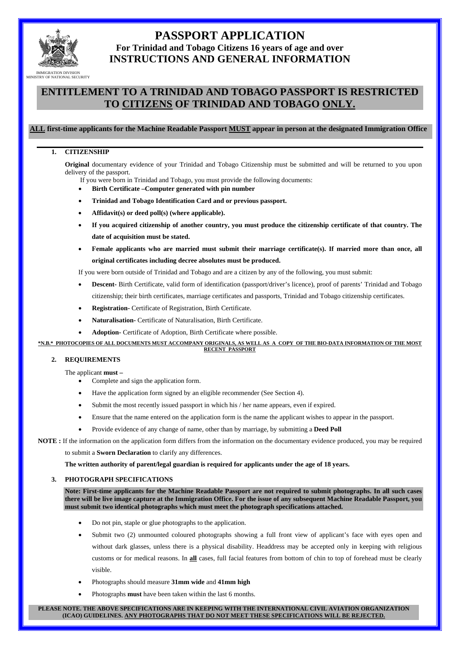

# **PASSPORT APPLICATION For Trinidad and Tobago Citizens 16 years of age and over INSTRUCTIONS AND GENERAL INFORMATION**

# **ENTITLEMENT TO A TRINIDAD AND TOBAGO PASSPORT IS RESTRICTED TO CITIZENS OF TRINIDAD AND TOBAGO ONLY.**

### **ALL first-time applicants for the Machine Readable Passport MUST appear in person at the designated Immigration Office**

### **1. CITIZENSHIP**

**Original** documentary evidence of your Trinidad and Tobago Citizenship must be submitted and will be returned to you upon delivery of the passport.

- If you were born in Trinidad and Tobago, you must provide the following documents:
- **Birth Certificate –Computer generated with pin number**
- **Trinidad and Tobago Identification Card and or previous passport.**
- **Affidavit(s) or deed poll(s) (where applicable).**
- **If you acquired citizenship of another country, you must produce the citizenship certificate of that country. The date of acquisition must be stated.**
- **Female applicants who are married must submit their marriage certificate(s). If married more than once, all original certificates including decree absolutes must be produced.**

If you were born outside of Trinidad and Tobago and are a citizen by any of the following, you must submit:

- **Descent-** Birth Certificate, valid form of identification (passport/driver's licence), proof of parents' Trinidad and Tobago citizenship; their birth certificates, marriage certificates and passports, Trinidad and Tobago citizenship certificates.
- **Registration-** Certificate of Registration, Birth Certificate.
- **Naturalisation-** Certificate of Naturalisation, Birth Certificate.
- **Adoption-** Certificate of Adoption, Birth Certificate where possible.

**\*N.B.\* PHOTOCOPIES OF ALL DOCUMENTS MUST ACCOMPANY ORIGINALS, AS WELL AS A COPY OF THE BIO-DATA INFORMATION OF THE MOST RECENT PASSPORT**

#### **2. REQUIREMENTS**

The applicant **must –**

- Complete and sign the application form.
- Have the application form signed by an eligible recommender (See Section 4).
- Submit the most recently issued passport in which his / her name appears, even if expired.
- Ensure that the name entered on the application form is the name the applicant wishes to appear in the passport.
- Provide evidence of any change of name, other than by marriage, by submitting a **Deed Poll**

# **NOTE :** If the information on the application form differs from the information on the documentary evidence produced, you may be required

to submit a **Sworn Declaration** to clarify any differences.

**The written authority of parent/legal guardian is required for applicants under the age of 18 years.**

#### **3. PHOTOGRAPH SPECIFICATIONS**

**Note: First-time applicants for the Machine Readable Passport are not required to submit photographs. In all such cases there will be live image capture at the Immigration Office. For the issue of any subsequent Machine Readable Passport, you must submit two identical photographs which must meet the photograph specifications attached.** 

- Do not pin, staple or glue photographs to the application.
- Submit two (2) unmounted coloured photographs showing a full front view of applicant's face with eyes open and without dark glasses, unless there is a physical disability. Headdress may be accepted only in keeping with religious customs or for medical reasons. In **all** cases, full facial features from bottom of chin to top of forehead must be clearly visible.
- Photographs should measure **31mm wide** and **41mm high**
- Photographs **must** have been taken within the last 6 months.

**PLEASE NOTE. THE ABOVE SPECIFICATIONS ARE IN KEEPING WITH THE INTERNATIONAL CIVIL AVIATION ORGANIZATION (ICAO) GUIDELINES. ANY PHOTOGRAPHS THAT DO NOT MEET THESE SPECIFICATIONS WILL BE REJECTED.**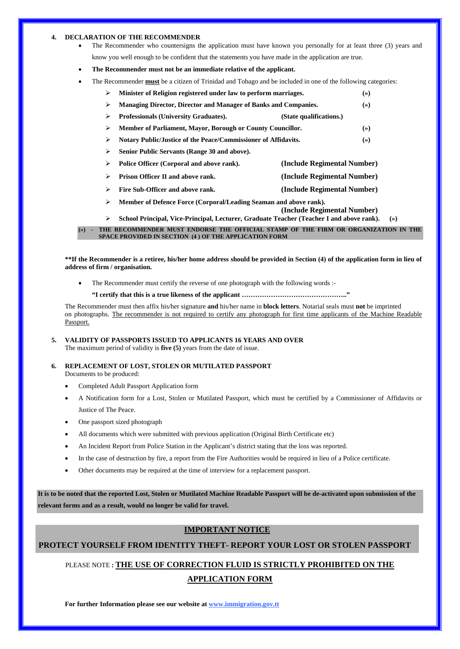#### **4. DECLARATION OF THE RECOMMENDER**

- The Recommender who countersigns the application must have known you personally for at least three (3) years and know you well enough to be confident that the statements you have made in the application are true.
- **The Recommender must not be an immediate relative of the applicant.**
- The Recommender **must** be a citizen of Trinidad and Tobago and be included in one of the following categories:

|   | Minister of Religion registered under law to perform marriages.        |                         | (»)   |
|---|------------------------------------------------------------------------|-------------------------|-------|
|   | <b>Managing Director, Director and Manager of Banks and Companies.</b> |                         | $(*)$ |
| ⋗ | <b>Professionals (University Graduates).</b>                           | (State qualifications.) |       |
|   | Member of Parliament, Mayor, Borough or County Councillor.             |                         | $(*)$ |
|   | Notary Public/Justice of the Peace/Commissioner of Affidavits.         |                         | (»)   |

- ¾ **Senior Public Servants (Range 30 and above).**
- ¾ **Police Officer (Corporal and above rank). (Include Regimental Number)**
- ¾ **Prison Officer II and above rank. (Include Regimental Number)**
- ¾ **Fire Sub-Officer and above rank. (Include Regimental Number)**
- ¾ **Member of Defence Force (Corporal/Leading Seaman and above rank).**
- **(Include Regimental Number)** ¾ **School Principal, Vice-Principal, Lecturer, Graduate Teacher (Teacher I and above rank). (»)**

**\*\*If the Recommender is a retiree, his/her home address should be provided in Section (4) of the application form in lieu of address of firm / organisation.** 

The Recommender must certify the reverse of one photograph with the following words :-

**"I certify that this is a true likeness of the applicant ……………………………………….."** 

The Recommender must then affix his/her signature **and** his/her name in **block letters**. Notarial seals must **not** be imprinted on photographs. The recommender is not required to certify any photograph for first time applicants of the Machine Readable Passport.

**5. VALIDITY OF PASSPORTS ISSUED TO APPLICANTS 16 YEARS AND OVER**  The maximum period of validity is **five (5)** years from the date of issue.

- **6. REPLACEMENT OF LOST, STOLEN OR MUTILATED PASSPORT**  Documents to be produced:
	- Completed Adult Passport Application form
	- A Notification form for a Lost, Stolen or Mutilated Passport, which must be certified by a Commissioner of Affidavits or Justice of The Peace.
	- One passport sized photograph
	- All documents which were submitted with previous application (Original Birth Certificate etc)
	- An Incident Report from Police Station in the Applicant's district stating that the loss was reported.
	- In the case of destruction by fire, a report from the Fire Authorities would be required in lieu of a Police certificate.
	- Other documents may be required at the time of interview for a replacement passport.

**It is to be noted that the reported Lost, Stolen or Mutilated Machine Readable Passport will be de-activated upon submission of the relevant forms and as a result, would no longer be valid for travel.**

### **IMPORTANT NOTICE**

## **PROTECT YOURSELF FROM IDENTITY THEFT- REPORT YOUR LOST OR STOLEN PASSPORT**

# PLEASE NOTE **: THE USE OF CORRECTION FLUID IS STRICTLY PROHIBITED ON THE APPLICATION FORM**

**For further Information please see our website at www.immigration.gov.tt**

**<sup>(») -</sup> THE RECOMMENDER MUST ENDORSE THE OFFICIAL STAMP OF THE FIRM OR ORGANIZATION IN THE SPACE PROVIDED IN SECTION (4 ) OF THE APPLICATION FORM**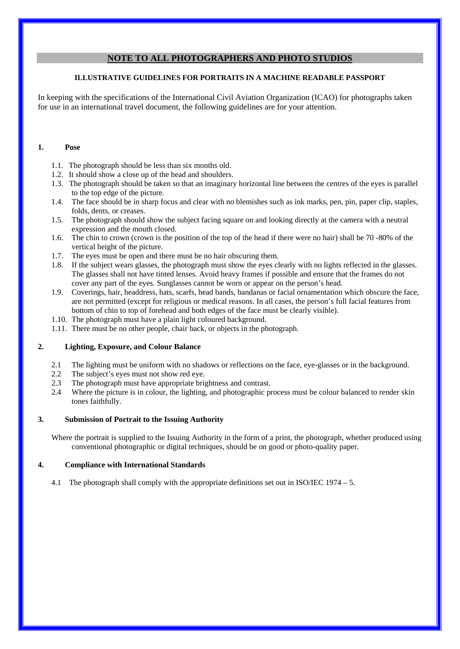## **NOTE TO ALL PHOTOGRAPHERS AND PHOTO STUDIOS**

### **ILLUSTRATIVE GUIDELINES FOR PORTRAITS IN A MACHINE READABLE PASSPORT**

In keeping with the specifications of the International Civil Aviation Organization (ICAO) for photographs taken for use in an international travel document, the following guidelines are for your attention.

### **1. Pose**

- 1.1. The photograph should be less than six months old.
- 1.2. It should show a close up of the head and shoulders.
- 1.3. The photograph should be taken so that an imaginary horizontal line between the centres of the eyes is parallel to the top edge of the picture.
- 1.4. The face should be in sharp focus and clear with no blemishes such as ink marks, pen, pin, paper clip, staples, folds, dents, or creases.
- 1.5. The photograph should show the subject facing square on and looking directly at the camera with a neutral expression and the mouth closed.
- 1.6. The chin to crown (crown is the position of the top of the head if there were no hair) shall be 70 -80% of the vertical height of the picture.
- 1.7. The eyes must be open and there must be no hair obscuring them.
- 1.8. If the subject wears glasses, the photograph must show the eyes clearly with no lights reflected in the glasses. The glasses shall not have tinted lenses. Avoid heavy frames if possible and ensure that the frames do not cover any part of the eyes. Sunglasses cannot be worn or appear on the person's head.
- 1.9. Coverings, hair, headdress, hats, scarfs, head bands, bandanas or facial ornamentation which obscure the face, are not permitted (except for religious or medical reasons. In all cases, the person's full facial features from bottom of chin to top of forehead and both edges of the face must be clearly visible).
- 1.10. The photograph must have a plain light coloured background.
- 1.11. There must be no other people, chair back, or objects in the photograph.

## **2. Lighting, Exposure, and Colour Balance**

- 2.1 The lighting must be uniform with no shadows or reflections on the face, eye-glasses or in the background.
- 2.2 The subject's eyes must not show red eye.
- 2.3 The photograph must have appropriate brightness and contrast.
- 2.4 Where the picture is in colour, the lighting, and photographic process must be colour balanced to render skin tones faithfully.

### **3. Submission of Portrait to the Issuing Authority**

Where the portrait is supplied to the Issuing Authority in the form of a print, the photograph, whether produced using conventional photographic or digital techniques, should be on good or photo-quality paper.

## **4. Compliance with International Standards**

4.1 The photograph shall comply with the appropriate definitions set out in ISO/IEC 1974 – 5.